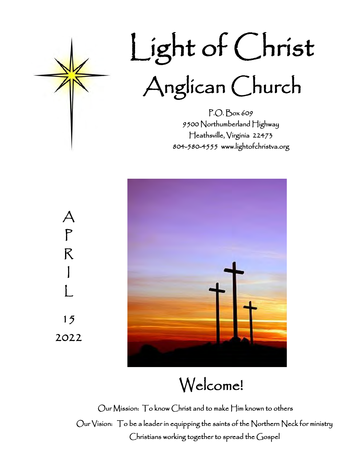

# Light of Christ Anglican Church

P.O. Box 609 9500 Northumberland Highway Heathsville, Virginia 22473 804-580-4555 www.lightofchristva.org



Welcome!

Our Mission: To know Christ and to make Him known to others Our Vision: To be a leader in equipping the saints of the Northern Neck for ministry Christians working together to spread the Gospel

 $\bm{\mathcal{A}}$ P R I L 15 2022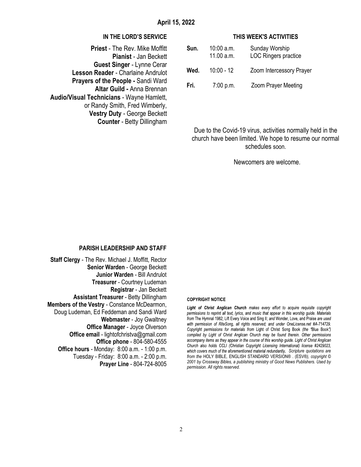#### **IN THE LORD'S SERVICE**

**Priest** - The Rev. Mike Moffitt **Pianist** - Jan Beckett **Guest Singer** - Lynne Cerar **Lesson Reader** - Charlaine Andrulot **Prayers of the People -** Sandi Ward **Altar Guild -** Anna Brennan **Audio/Visual Technicians** - Wayne Hamlett, or Randy Smith, Fred Wimberly, **Vestry Duty** - George Beckett **Counter** - Betty Dillingham

#### **THIS WEEK'S ACTIVITIES**

| Sun. | $10:00$ a.m.<br>11.00 $a.m.$ | Sunday Worship<br>LOC Ringers practice |
|------|------------------------------|----------------------------------------|
| Wed. | $10:00 - 12$                 | Zoom Intercessory Prayer               |
| Fri. | 7:00 p.m.                    | <b>Zoom Prayer Meeting</b>             |

Due to the Covid-19 virus, activities normally held in the church have been limited. We hope to resume our normal schedules soon.

Newcomers are welcome.

#### **PARISH LEADERSHIP AND STAFF**

**Staff Clergy** - The Rev. Michael J. Moffitt, Rector **Senior Warden** - George Beckett **Junior Warden** - Bill Andrulot **Treasurer** - Courtney Ludeman **Registrar** - Jan Beckett **Assistant Treasurer** - Betty Dillingham **Members of the Vestry** - Constance McDearmon, Doug Ludeman, Ed Feddeman and Sandi Ward **Webmaster** - Joy Gwaltney **Office Manager** - Joyce Olverson **Office email** - lightofchristva@gmail.com **Office phone** - 804-580-4555 **Office hours** - Monday: 8:00 a.m. - 1:00 p.m. Tuesday - Friday: 8:00 a.m. - 2:00 p.m. **Prayer Line** - 804-724-8005

#### **COPYRIGHT NOTICE**

Light of Christ Anglican Church makes every effort to acquire requisite copyright permissions to reprint all text, lyrics, and music that appear in this worship quide. Materials from The Hymnal 1982; Lift Every Voice and Sing II; and Wonder, Love, and Praise are used with permission of RiteSong, all rights reserved; and under OneLicense.net #A-714729. Copyright permissions for materials from Light of Christ Song Book (the "Blue Book") compiled by Light of Christ Anglican Church may be found therein. Other permissions accompany items as they appear in the course of this worship guide. Light of Christ Anglican Church also holds CCLI (Christian Copyright Licensing International) license #2429023, which covers much of the aforementioned material redundantly. Scripture quotations are *from the* HOLY BIBLE*,* ENGLISH STANDARD VERSION*®* . (ESV*®), copyright © 2001 by Crossway Bibles, a publishing ministry of Good News Publishers. Used by permission. All rights reserved.*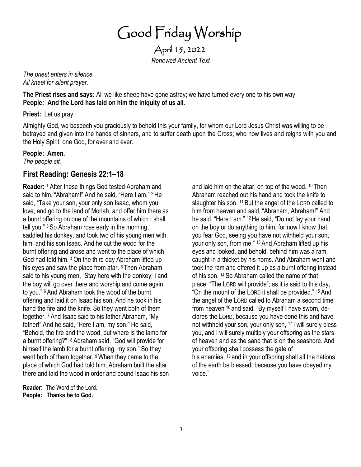Good Friday Worship

April 15, 2022 *Renewed Ancient Text* 

*The priest enters in silence. All kneel for silent prayer.* 

**The Priest rises and says:** All we like sheep have gone astray; we have turned every one to his own way, **People: And the Lord has laid on him the iniquity of us all.** 

**Priest:** Let us pray.

Almighty God, we beseech you graciously to behold this your family, for whom our Lord Jesus Christ was willing to be betrayed and given into the hands of sinners, and to suffer death upon the Cross; who now lives and reigns with you and the Holy Spirit, one God, for ever and ever.

#### **People: Amen.**

*The people sit.* 

## **First Reading: Genesis 22:1–18**

**Reader:** <sup>1</sup> After these things God tested Abraham and said to him, "Abraham!" And he said, "Here I am." <sup>2</sup> He said, "Take your son, your only son Isaac, whom you love, and go to the land of Moriah, and offer him there as a burnt offering on one of the mountains of which I shall tell you." <sup>3</sup> So Abraham rose early in the morning, saddled his donkey, and took two of his young men with him, and his son Isaac. And he cut the wood for the burnt offering and arose and went to the place of which God had told him. <sup>4</sup>On the third day Abraham lifted up his eyes and saw the place from afar. <sup>5</sup> Then Abraham said to his young men, "Stay here with the donkey; I and the boy will go over there and worship and come again to you." <sup>6</sup> And Abraham took the wood of the burnt offering and laid it on Isaac his son. And he took in his hand the fire and the knife. So they went both of them together. <sup>7</sup> And Isaac said to his father Abraham, "My father!" And he said, "Here I am, my son." He said, "Behold, the fire and the wood, but where is the lamb for a burnt offering?" <sup>8</sup> Abraham said, "God will provide for himself the lamb for a burnt offering, my son." So they went both of them together. <sup>9</sup> When they came to the place of which God had told him, Abraham built the altar there and laid the wood in order and bound Isaac his son

**Reader:** The Word of the Lord. **People: Thanks be to God.**

and laid him on the altar, on top of the wood. <sup>10</sup> Then Abraham reached out his hand and took the knife to slaughter his son. <sup>11</sup> But the angel of the LORD called to him from heaven and said, "Abraham, Abraham!" And he said, "Here I am." <sup>12</sup> He said, "Do not lay your hand on the boy or do anything to him, for now I know that you fear God, seeing you have not withheld your son, your only son, from me." <sup>13</sup> And Abraham lifted up his eyes and looked, and behold, behind him was a ram, caught in a thicket by his horns. And Abraham went and took the ram and offered it up as a burnt offering instead of his son. <sup>14</sup> So Abraham called the name of that place, "The LORD will provide"; as it is said to this day, "On the mount of the LORD it shall be provided." <sup>15</sup> And the angel of the LORD called to Abraham a second time from heaven <sup>16</sup> and said, "By myself I have sworn, declares the LORD, because you have done this and have not withheld your son, your only son, <sup>17</sup> I will surely bless you, and I will surely multiply your offspring as the stars of heaven and as the sand that is on the seashore. And your offspring shall possess the gate of his enemies, <sup>18</sup> and in your offspring shall all the nations of the earth be blessed, because you have obeyed my voice."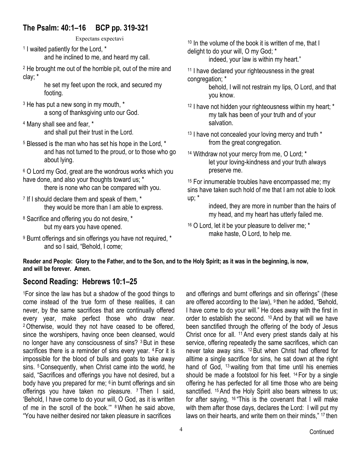## **The Psalm: 40:1–16 BCP pp. 319-321**

Expectans expectavi

1 I waited patiently for the Lord, \* and he inclined to me, and heard my call.

<sup>2</sup> He brought me out of the horrible pit, out of the mire and clay; \*

he set my feet upon the rock, and secured my footing.

- <sup>3</sup> He has put a new song in my mouth, \* a song of thanksgiving unto our God.
- <sup>4</sup> Many shall see and fear, \* and shall put their trust in the Lord.
- <sup>5</sup> Blessed is the man who has set his hope in the Lord, \* and has not turned to the proud, or to those who go about lying.

<sup>6</sup> O Lord my God, great are the wondrous works which you have done, and also your thoughts toward us; \*

there is none who can be compared with you.

- <sup>7</sup> If I should declare them and speak of them, \* they would be more than I am able to express.
- <sup>8</sup> Sacrifice and offering you do not desire, \* but my ears you have opened.
- <sup>9</sup> Burnt offerings and sin offerings you have not required, \* and so I said, "Behold, I come;

<sup>10</sup> In the volume of the book it is written of me, that I delight to do your will, O my God; \*

indeed, your law is within my heart."

<sup>11</sup> I have declared your righteousness in the great congregation; \*

behold, I will not restrain my lips, O Lord, and that you know.

- <sup>12</sup> I have not hidden your righteousness within my heart; \* my talk has been of your truth and of your salvation.
- <sup>13</sup> I have not concealed your loving mercy and truth \* from the great congregation.
- <sup>14</sup> Withdraw not your mercy from me, O Lord; \* let your loving-kindness and your truth always preserve me.

<sup>15</sup> For innumerable troubles have encompassed me; my sins have taken such hold of me that I am not able to look up; \*

> indeed, they are more in number than the hairs of my head, and my heart has utterly failed me.

<sup>16</sup> O Lord, let it be your pleasure to deliver me; \* make haste, O Lord, to help me.

**Reader and People: Glory to the Father, and to the Son, and to the Holy Spirit; as it was in the beginning, is now, and will be forever. Amen.** 

## **Second Reading: Hebrews 10:1–25**

<sup>1</sup>For since the law has but a shadow of the good things to come instead of the true form of these realities, it can never, by the same sacrifices that are continually offered every year, make perfect those who draw near. <sup>2</sup>Otherwise, would they not have ceased to be offered, since the worshipers, having once been cleansed, would no longer have any consciousness of sins? <sup>3</sup>But in these sacrifices there is a reminder of sins every year. <sup>4</sup> For it is impossible for the blood of bulls and goats to take away sins. 5 Consequently, when Christ came into the world, he said, "Sacrifices and offerings you have not desired, but a body have you prepared for me; 6 in burnt offerings and sin offerings you have taken no pleasure. <sup>7</sup> Then I said, 'Behold, I have come to do your will, O God, as it is written of me in the scroll of the book.'" 8When he said above, "You have neither desired nor taken pleasure in sacrifices

and offerings and burnt offerings and sin offerings" (these are offered according to the law), <sup>9</sup> then he added, "Behold, I have come to do your will." He does away with the first in order to establish the second. <sup>10</sup> And by that will we have been sanctified through the offering of the body of Jesus Christ once for all. <sup>11</sup> And every priest stands daily at his service, offering repeatedly the same sacrifices, which can never take away sins. <sup>12</sup> But when Christ had offered for alltime a single sacrifice for sins, he sat down at the right hand of God, <sup>13</sup> waiting from that time until his enemies should be made a footstool for his feet. <sup>14</sup> For by a single offering he has perfected for all time those who are being sanctified. <sup>15</sup> And the Holy Spirit also bears witness to us; for after saying, <sup>16</sup> "This is the covenant that I will make with them after those days, declares the Lord: I will put my laws on their hearts, and write them on their minds," <sup>17</sup> then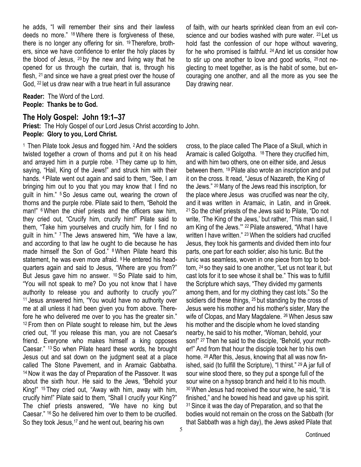he adds, "I will remember their sins and their lawless deeds no more." <sup>18</sup>Where there is forgiveness of these, there is no longer any offering for sin. <sup>19</sup> Therefore, brothers, since we have confidence to enter the holy places by the blood of Jesus, <sup>20</sup> by the new and living way that he opened for us through the curtain, that is, through his flesh, <sup>21</sup> and since we have a great priest over the house of God, <sup>22</sup> let us draw near with a true heart in full assurance

**Reader:** The Word of the Lord. **People: Thanks be to God.**

#### **The Holy Gospel: John 19:1–37**

**Priest:** The Holy Gospel of our Lord Jesus Christ according to John. **People: Glory to you, Lord Christ.**

<sup>1</sup> Then Pilate took Jesus and flogged him. <sup>2</sup> And the soldiers twisted together a crown of thorns and put it on his head and arrayed him in a purple robe.  $3$  They came up to him, saying, "Hail, King of the Jews!" and struck him with their hands. <sup>4</sup> Pilate went out again and said to them, "See, I am bringing him out to you that you may know that I find no guilt in him." <sup>5</sup> So Jesus came out, wearing the crown of thorns and the purple robe. Pilate said to them, "Behold the man!" <sup>6</sup> When the chief priests and the officers saw him, they cried out, "Crucify him, crucify him!" Pilate said to them, "Take him yourselves and crucify him, for I find no guilt in him." <sup>7</sup> The Jews answered him, "We have a law, and according to that law he ought to die because he has made himself the Son of God." <sup>8</sup>When Pilate heard this statement, he was even more afraid. <sup>9</sup>He entered his headquarters again and said to Jesus, "Where are you from?" But Jesus gave him no answer. <sup>10</sup> So Pilate said to him, "You will not speak to me? Do you not know that I have authority to release you and authority to crucify you?" <sup>11</sup> Jesus answered him, "You would have no authority over me at all unless it had been given you from above. Therefore he who delivered me over to you has the greater sin." <sup>12</sup> From then on Pilate sought to release him, but the Jews cried out, "If you release this man, you are not Caesar's friend. Everyone who makes himself a king opposes Caesar." <sup>13</sup> So when Pilate heard these words, he brought Jesus out and sat down on the judgment seat at a place called The Stone Pavement, and in Aramaic Gabbatha. <sup>14</sup> Now it was the day of Preparation of the Passover. It was about the sixth hour. He said to the Jews, "Behold your King!" <sup>15</sup> They cried out, "Away with him, away with him, crucify him!" Pilate said to them, "Shall I crucify your King?" The chief priests answered, "We have no king but Caesar." <sup>16</sup> So he delivered him over to them to be crucified. So they took Jesus,<sup>17</sup> and he went out, bearing his own

of faith, with our hearts sprinkled clean from an evil conscience and our bodies washed with pure water. <sup>23</sup> Let us hold fast the confession of our hope without wavering, for he who promised is faithful. <sup>24</sup>And let us consider how to stir up one another to love and good works, <sup>25</sup> not neglecting to meet together, as is the habit of some, but encouraging one another, and all the more as you see the Day drawing near.

cross, to the place called The Place of a Skull, which in Aramaic is called Golgotha. <sup>18</sup> There they crucified him, and with him two others, one on either side, and Jesus between them. <sup>19</sup> Pilate also wrote an inscription and put it on the cross. It read, "Jesus of Nazareth, the King of the Jews." <sup>20</sup> Many of the Jews read this inscription, for the place where Jesus was crucified was near the city, and it was written in Aramaic, in Latin, and in Greek. <sup>21</sup>So the chief priests of the Jews said to Pilate, "Do not write, 'The King of the Jews,' but rather, 'This man said, I am King of the Jews.'" <sup>22</sup> Pilate answered, "What I have written I have written." 23When the soldiers had crucified Jesus, they took his garments and divided them into four parts, one part for each soldier; also his tunic. But the tunic was seamless, woven in one piece from top to bottom, <sup>24</sup> so they said to one another, "Let us not tear it, but cast lots for it to see whose it shall be." This was to fulfill the Scripture which says, "They divided my garments among them, and for my clothing they cast lots." So the soldiers did these things, <sup>25</sup> but standing by the cross of Jesus were his mother and his mother's sister, Mary the wife of Clopas, and Mary Magdalene. <sup>26</sup> When Jesus saw his mother and the disciple whom he loved standing nearby, he said to his mother, "Woman, behold, your son!" <sup>27</sup> Then he said to the disciple, "Behold, your mother!" And from that hour the disciple took her to his own home. <sup>28</sup> After this, Jesus, knowing that all was now finished, said (to fulfill the Scripture), "I thirst." <sup>29</sup> A jar full of sour wine stood there, so they put a sponge full of the sour wine on a hyssop branch and held it to his mouth. <sup>30</sup>When Jesus had received the sour wine, he said, "It is finished," and he bowed his head and gave up his spirit. <sup>31</sup> Since it was the day of Preparation, and so that the bodies would not remain on the cross on the Sabbath (for that Sabbath was a high day), the Jews asked Pilate that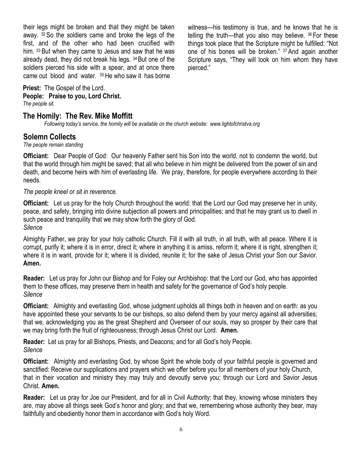their legs might be broken and that they might be taken away. <sup>32</sup> So the soldiers came and broke the legs of the first, and of the other who had been crucified with him. <sup>33</sup> But when they came to Jesus and saw that he was already dead, they did not break his legs. <sup>34</sup>But one of the soldiers pierced his side with a spear, and at once there came out blood and water. <sup>35</sup> He who saw it has borne

witness—his testimony is true, and he knows that he is telling the truth—that you also may believe. <sup>36</sup> For these things took place that the Scripture might be fulfilled: "Not one of his bones will be broken." <sup>37</sup> And again another Scripture says, "They will look on him whom they have pierced."

#### **Priest:** The Gospel of the Lord. **People: Praise to you, Lord Christ.**

*The people sit.*

### **The Homily: The Rev. Mike Moffitt**

*Following today's service, the homily will be available on the church website: www.lightofchristva.org*

#### **Solemn Collects**

*The people remain standing*

**Officiant:** Dear People of God: Our heavenly Father sent his Son into the world, not to condemn the world, but that the world through him might be saved; that all who believe in him might be delivered from the power of sin and death, and become heirs with him of everlasting life. We pray, therefore, for people everywhere according to their needs.

#### *The people kneel or sit in reverence.*

**Officiant:** Let us pray for the holy Church throughout the world: that the Lord our God may preserve her in unity, peace, and safety, bringing into divine subjection all powers and principalities; and that he may grant us to dwell in such peace and tranquility that we may show forth the glory of God. *Silence*

Almighty Father, we pray for your holy catholic Church. Fill it with all truth, in all truth, with all peace. Where it is corrupt, purify it; where it is in error, direct it; where in anything it is amiss, reform it; where it is right, strengthen it; where it is in want, provide for it; where it is divided, reunite it; for the sake of Jesus Christ your Son our Savior. **Amen.**

**Reader:** Let us pray for John our Bishop and for Foley our Archbishop: that the Lord our God, who has appointed them to these offices, may preserve them in health and safety for the governance of God's holy people. *Silence*

**Officiant:** Almighty and everlasting God, whose judgment upholds all things both in heaven and on earth: as you have appointed these your servants to be our bishops, so also defend them by your mercy against all adversities; that we, acknowledging you as the great Shepherd and Overseer of our souls, may so prosper by their care that we may bring forth the fruit of righteousness; through Jesus Christ our Lord. **Amen.**

**Reader:** Let us pray for all Bishops, Priests, and Deacons; and for all God's holy People. *Silence*

**Officiant:** Almighty and everlasting God, by whose Spirit the whole body of your faithful people is governed and sanctified: Receive our supplications and prayers which we offer before you for all members of your holy Church, that in their vocation and ministry they may truly and devoutly serve you; through our Lord and Savior Jesus Christ. **Amen.**

**Reader:** Let us pray for Joe our President, and for all in Civil Authority; that they, knowing whose ministers they are, may above all things seek God's honor and glory; and that we, remembering whose authority they bear, may faithfully and obediently honor them in accordance with God's holy Word.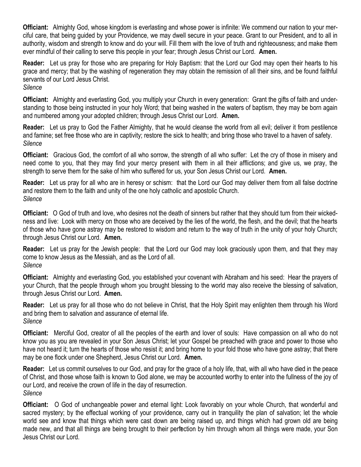**Officiant:** Almighty God, whose kingdom is everlasting and whose power is infinite: We commend our nation to your merciful care, that being guided by your Providence, we may dwell secure in your peace. Grant to our President, and to all in authority, wisdom and strength to know and do your will. Fill them with the love of truth and righteousness; and make them ever mindful of their calling to serve this people in your fear; through Jesus Christ our Lord. **Amen.**

**Reader:** Let us pray for those who are preparing for Holy Baptism: that the Lord our God may open their hearts to his grace and mercy; that by the washing of regeneration they may obtain the remission of all their sins, and be found faithful servants of our Lord Jesus Christ. *Silence*

**Officiant:** Almighty and everlasting God, you multiply your Church in every generation: Grant the gifts of faith and understanding to those being instructed in your holy Word; that being washed in the waters of baptism, they may be born again and numbered among your adopted children; through Jesus Christ our Lord. **Amen.**

**Reader:** Let us pray to God the Father Almighty, that he would cleanse the world from all evil; deliver it from pestilence and famine; set free those who are in captivity; restore the sick to health; and bring those who travel to a haven of safety. *Silence*

**Officiant:** Gracious God, the comfort of all who sorrow, the strength of all who suffer: Let the cry of those in misery and need come to you, that they may find your mercy present with them in all their afflictions; and give us, we pray, the strength to serve them for the sake of him who suffered for us, your Son Jesus Christ our Lord. **Amen.**

**Reader:** Let us pray for all who are in heresy or schism: that the Lord our God may deliver them from all false doctrine and restore them to the faith and unity of the one holy catholic and apostolic Church. *Silence*

**Officiant:** O God of truth and love, who desires not the death of sinners but rather that they should turn from their wickedness and live: Look with mercy on those who are deceived by the lies of the world, the flesh, and the devil; that the hearts of those who have gone astray may be restored to wisdom and return to the way of truth in the unity of your holy Church; through Jesus Christ our Lord. **Amen.**

**Reader:** Let us pray for the Jewish people: that the Lord our God may look graciously upon them, and that they may come to know Jesus as the Messiah, and as the Lord of all. *Silence*

**Officiant:** Almighty and everlasting God, you established your covenant with Abraham and his seed: Hear the prayers of your Church, that the people through whom you brought blessing to the world may also receive the blessing of salvation, through Jesus Christ our Lord. **Amen.**

**Reader:** Let us pray for all those who do not believe in Christ, that the Holy Spirit may enlighten them through his Word and bring them to salvation and assurance of eternal life. *Silence*

**Officiant:** Merciful God, creator of all the peoples of the earth and lover of souls: Have compassion on all who do not know you as you are revealed in your Son Jesus Christ; let your Gospel be preached with grace and power to those who have not heard it; turn the hearts of those who resist it; and bring home to your fold those who have gone astray; that there may be one flock under one Shepherd, Jesus Christ our Lord. **Amen.**

**Reader:** Let us commit ourselves to our God, and pray for the grace of a holy life, that, with all who have died in the peace of Christ, and those whose faith is known to God alone, we may be accounted worthy to enter into the fullness of the joy of our Lord, and receive the crown of life in the day of resurrection. *Silence*

7 made new, and that all things are being brought to their perfection by him through whom all things were made, your Son **Officiant:** O God of unchangeable power and eternal light: Look favorably on your whole Church, that wonderful and sacred mystery; by the effectual working of your providence, carry out in tranquility the plan of salvation; let the whole world see and know that things which were cast down are being raised up, and things which had grown old are being Jesus Christ our Lord.